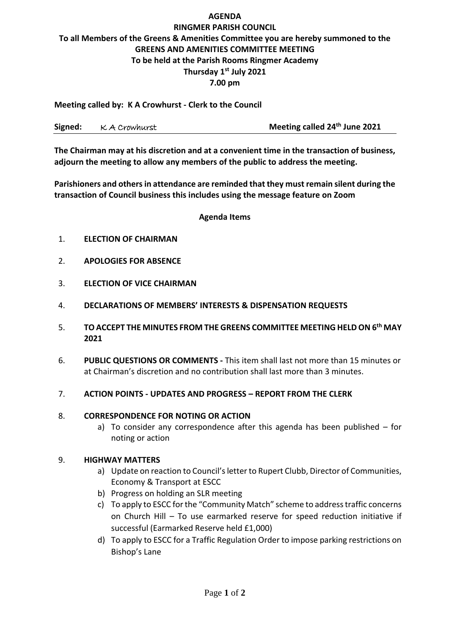# **AGENDA RINGMER PARISH COUNCIL To all Members of the Greens & Amenities Committee you are hereby summoned to the GREENS AND AMENITIES COMMITTEE MEETING To be held at the Parish Rooms Ringmer Academy Thursday 1 st July 2021 7.00 pm**

**Meeting called by: K A Crowhurst - Clerk to the Council**

|  | Signed: KA Crowhurst | Meeting called 24 <sup>th</sup> June 2021 |
|--|----------------------|-------------------------------------------|
|--|----------------------|-------------------------------------------|

**The Chairman may at his discretion and at a convenient time in the transaction of business, adjourn the meeting to allow any members of the public to address the meeting.**

**Parishioners and others in attendance are reminded that they must remain silent during the transaction of Council business this includes using the message feature on Zoom**

### **Agenda Items**

- 1. **ELECTION OF CHAIRMAN**
- $2<sub>1</sub>$ **APOLOGIES FOR ABSENCE**
- 3. **ELECTION OF VICE CHAIRMAN**
- 4. **DECLARATIONS OF MEMBERS' INTERESTS & DISPENSATION REQUESTS**
- 5. **TO ACCEPT THE MINUTES FROM THE GREENS COMMITTEE MEETING HELD ON 6 th MAY 2021**
- 6. **PUBLIC QUESTIONS OR COMMENTS -** This item shall last not more than 15 minutes or at Chairman's discretion and no contribution shall last more than 3 minutes.

### 7. **ACTION POINTS - UPDATES AND PROGRESS – REPORT FROM THE CLERK**

### 8. **CORRESPONDENCE FOR NOTING OR ACTION**

a) To consider any correspondence after this agenda has been published – for noting or action

### 9. **HIGHWAY MATTERS**

- a) Update on reaction to Council's letter to Rupert Clubb, Director of Communities, Economy & Transport at ESCC
- b) Progress on holding an SLR meeting
- c) To apply to ESCC for the "Community Match" scheme to address traffic concerns on Church Hill – To use earmarked reserve for speed reduction initiative if successful (Earmarked Reserve held £1,000)
- d) To apply to ESCC for a Traffic Regulation Order to impose parking restrictions on Bishop's Lane